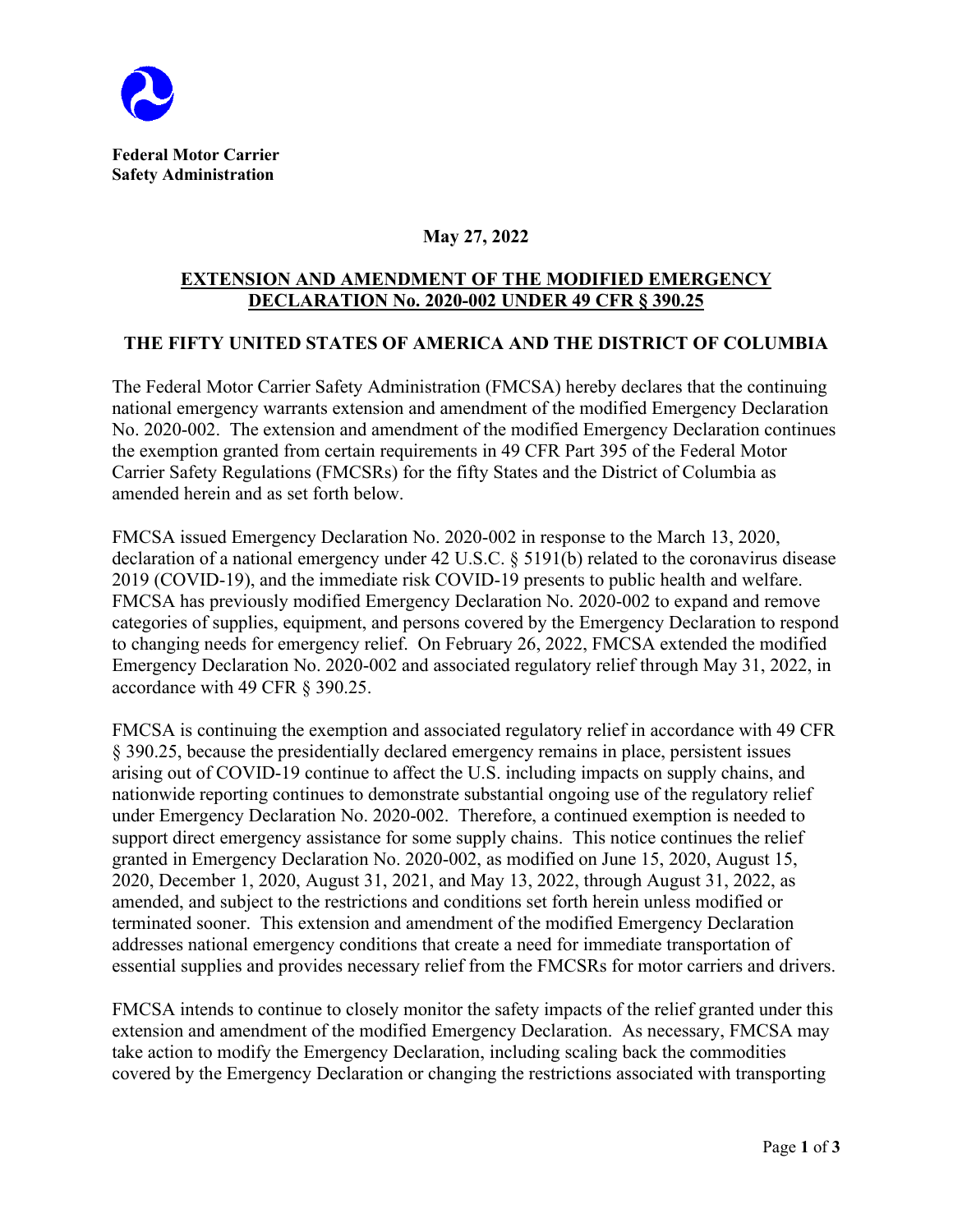

## **May 27, 2022**

## **EXTENSION AND AMENDMENT OF THE MODIFIED EMERGENCY DECLARATION No. 2020-002 UNDER 49 CFR § 390.25**

## **THE FIFTY UNITED STATES OF AMERICA AND THE DISTRICT OF COLUMBIA**

The Federal Motor Carrier Safety Administration (FMCSA) hereby declares that the continuing national emergency warrants extension and amendment of the modified Emergency Declaration No. 2020-002. The extension and amendment of the modified Emergency Declaration continues the exemption granted from certain requirements in 49 CFR Part 395 of the Federal Motor Carrier Safety Regulations (FMCSRs) for the fifty States and the District of Columbia as amended herein and as set forth below.

FMCSA issued Emergency Declaration No. 2020-002 in response to the March 13, 2020, declaration of a national emergency under 42 U.S.C. § 5191(b) related to the coronavirus disease 2019 (COVID-19), and the immediate risk COVID-19 presents to public health and welfare. FMCSA has previously modified Emergency Declaration No. 2020-002 to expand and remove categories of supplies, equipment, and persons covered by the Emergency Declaration to respond to changing needs for emergency relief. On February 26, 2022, FMCSA extended the modified Emergency Declaration No. 2020-002 and associated regulatory relief through May 31, 2022, in accordance with 49 CFR § 390.25.

FMCSA is continuing the exemption and associated regulatory relief in accordance with 49 CFR § 390.25, because the presidentially declared emergency remains in place, persistent issues arising out of COVID-19 continue to affect the U.S. including impacts on supply chains, and nationwide reporting continues to demonstrate substantial ongoing use of the regulatory relief under Emergency Declaration No. 2020-002. Therefore, a continued exemption is needed to support direct emergency assistance for some supply chains. This notice continues the relief granted in Emergency Declaration No. 2020-002, as modified on June 15, 2020, August 15, 2020, December 1, 2020, August 31, 2021, and May 13, 2022, through August 31, 2022, as amended, and subject to the restrictions and conditions set forth herein unless modified or terminated sooner. This extension and amendment of the modified Emergency Declaration addresses national emergency conditions that create a need for immediate transportation of essential supplies and provides necessary relief from the FMCSRs for motor carriers and drivers.

FMCSA intends to continue to closely monitor the safety impacts of the relief granted under this extension and amendment of the modified Emergency Declaration. As necessary, FMCSA may take action to modify the Emergency Declaration, including scaling back the commodities covered by the Emergency Declaration or changing the restrictions associated with transporting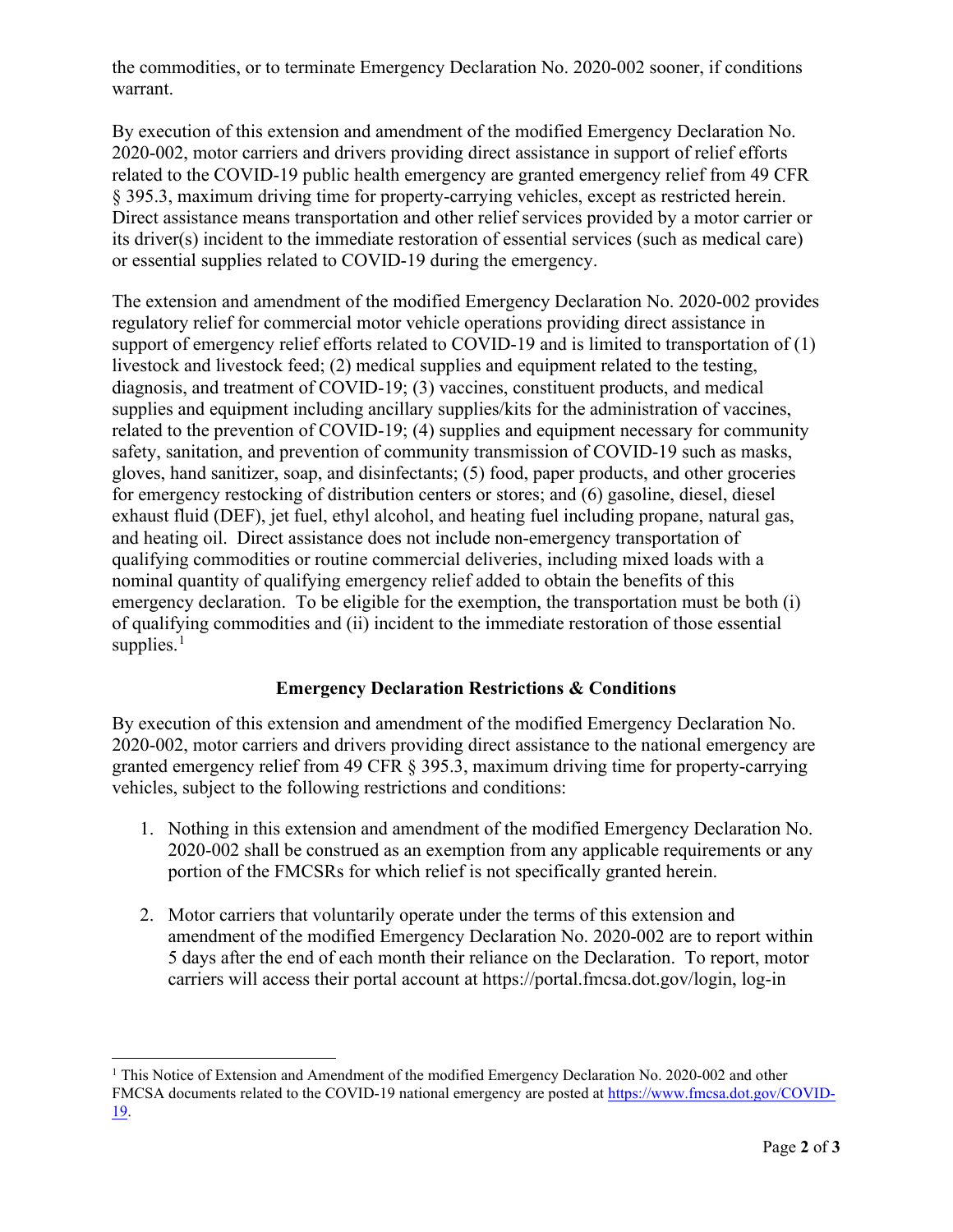the commodities, or to terminate Emergency Declaration No. 2020-002 sooner, if conditions warrant.

By execution of this extension and amendment of the modified Emergency Declaration No. 2020-002, motor carriers and drivers providing direct assistance in support of relief efforts related to the COVID-19 public health emergency are granted emergency relief from 49 CFR § 395.3, maximum driving time for property-carrying vehicles, except as restricted herein. Direct assistance means transportation and other relief services provided by a motor carrier or its driver(s) incident to the immediate restoration of essential services (such as medical care) or essential supplies related to COVID-19 during the emergency.

The extension and amendment of the modified Emergency Declaration No. 2020-002 provides regulatory relief for commercial motor vehicle operations providing direct assistance in support of emergency relief efforts related to COVID-19 and is limited to transportation of (1) livestock and livestock feed; (2) medical supplies and equipment related to the testing, diagnosis, and treatment of COVID-19; (3) vaccines, constituent products, and medical supplies and equipment including ancillary supplies/kits for the administration of vaccines, related to the prevention of COVID-19; (4) supplies and equipment necessary for community safety, sanitation, and prevention of community transmission of COVID-19 such as masks, gloves, hand sanitizer, soap, and disinfectants; (5) food, paper products, and other groceries for emergency restocking of distribution centers or stores; and (6) gasoline, diesel, diesel exhaust fluid (DEF), jet fuel, ethyl alcohol, and heating fuel including propane, natural gas, and heating oil. Direct assistance does not include non-emergency transportation of qualifying commodities or routine commercial deliveries, including mixed loads with a nominal quantity of qualifying emergency relief added to obtain the benefits of this emergency declaration. To be eligible for the exemption, the transportation must be both (i) of qualifying commodities and (ii) incident to the immediate restoration of those essential supplies. $<sup>1</sup>$  $<sup>1</sup>$  $<sup>1</sup>$ </sup>

## **Emergency Declaration Restrictions & Conditions**

By execution of this extension and amendment of the modified Emergency Declaration No. 2020-002, motor carriers and drivers providing direct assistance to the national emergency are granted emergency relief from 49 CFR § 395.3, maximum driving time for property-carrying vehicles, subject to the following restrictions and conditions:

- 1. Nothing in this extension and amendment of the modified Emergency Declaration No. 2020-002 shall be construed as an exemption from any applicable requirements or any portion of the FMCSRs for which relief is not specifically granted herein.
- 2. Motor carriers that voluntarily operate under the terms of this extension and amendment of the modified Emergency Declaration No. 2020-002 are to report within 5 days after the end of each month their reliance on the Declaration. To report, motor carriers will access their portal account at https://portal.fmcsa.dot.gov/login, log-in

<span id="page-1-0"></span><sup>&</sup>lt;sup>1</sup> This Notice of Extension and Amendment of the modified Emergency Declaration No. 2020-002 and other FMCSA documents related to the COVID-19 national emergency are posted at [https://www.fmcsa.dot.gov/COVID-](https://www.fmcsa.dot.gov/COVID-19)[19.](https://www.fmcsa.dot.gov/COVID-19)